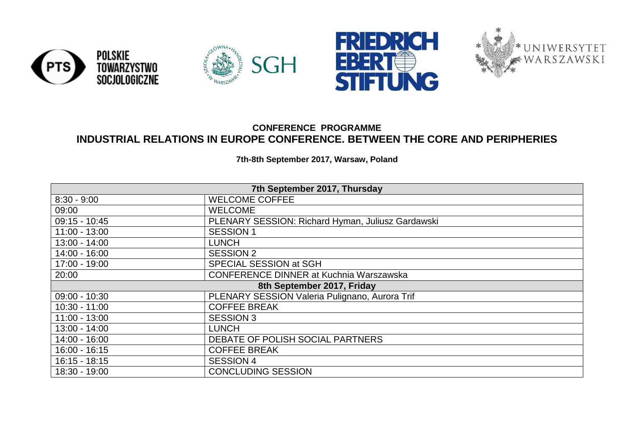





## **CONFERENCE PROGRAMME INDUSTRIAL RELATIONS IN EUROPE CONFERENCE. BETWEEN THE CORE AND PERIPHERIES**

**7th-8th September 2017, Warsaw, Poland**

| 7th September 2017, Thursday                                      |                                                   |  |  |
|-------------------------------------------------------------------|---------------------------------------------------|--|--|
| $8:30 - 9:00$<br><b>WELCOME COFFEE</b>                            |                                                   |  |  |
| <b>WELCOME</b><br>09:00                                           |                                                   |  |  |
| $09:15 - 10:45$                                                   | PLENARY SESSION: Richard Hyman, Juliusz Gardawski |  |  |
| $11:00 - 13:00$                                                   | <b>SESSION 1</b>                                  |  |  |
| 13:00 - 14:00                                                     | <b>LUNCH</b>                                      |  |  |
| $14:00 - 16:00$                                                   | <b>SESSION 2</b>                                  |  |  |
| 17:00 - 19:00                                                     | SPECIAL SESSION at SGH                            |  |  |
| <b>CONFERENCE DINNER at Kuchnia Warszawska</b><br>20:00           |                                                   |  |  |
|                                                                   | 8th September 2017, Friday                        |  |  |
| PLENARY SESSION Valeria Pulignano, Aurora Trif<br>$09:00 - 10:30$ |                                                   |  |  |
| <b>COFFEE BREAK</b><br>$10:30 - 11:00$                            |                                                   |  |  |
| <b>SESSION 3</b><br>$11:00 - 13:00$                               |                                                   |  |  |
| $13:00 - 14:00$<br><b>LUNCH</b>                                   |                                                   |  |  |
| DEBATE OF POLISH SOCIAL PARTNERS<br>$14:00 - 16:00$               |                                                   |  |  |
| $16:00 - 16:15$                                                   | <b>COFFEE BREAK</b>                               |  |  |
| $16:15 - 18:15$                                                   | <b>SESSION 4</b>                                  |  |  |
| <b>CONCLUDING SESSION</b><br>18:30 - 19:00                        |                                                   |  |  |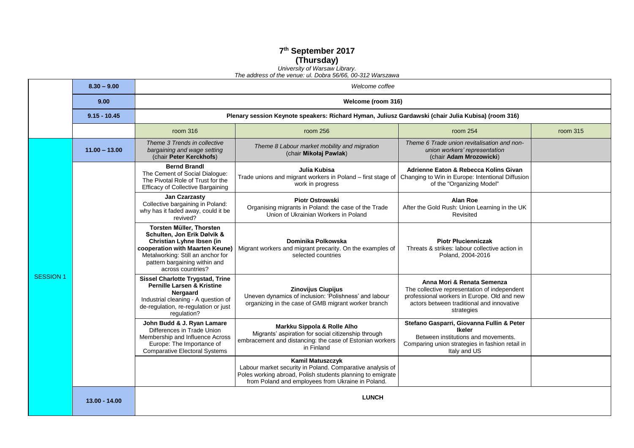## **7 th September 2017 (Thursday)**

*[University of Warsaw Library.](http://www.buw.uw.edu.pl/en/)  The address of the venue: ul. Dobra 56/66, 00-312 Warszawa*

|                  | $8.30 - 9.00$   | Welcome coffee                                                                                                                                                                                                     |                                                                                                                                                                                                  |                                                                                                                                                                                      |          |  |  |
|------------------|-----------------|--------------------------------------------------------------------------------------------------------------------------------------------------------------------------------------------------------------------|--------------------------------------------------------------------------------------------------------------------------------------------------------------------------------------------------|--------------------------------------------------------------------------------------------------------------------------------------------------------------------------------------|----------|--|--|
|                  | 9.00            | Welcome (room 316)                                                                                                                                                                                                 |                                                                                                                                                                                                  |                                                                                                                                                                                      |          |  |  |
|                  | $9.15 - 10.45$  | Plenary session Keynote speakers: Richard Hyman, Juliusz Gardawski (chair Julia Kubisa) (room 316)                                                                                                                 |                                                                                                                                                                                                  |                                                                                                                                                                                      |          |  |  |
|                  |                 | room 316                                                                                                                                                                                                           | room 256                                                                                                                                                                                         | room 254                                                                                                                                                                             | room 315 |  |  |
|                  | $11.00 - 13.00$ | Theme 3 Trends in collective<br>bargaining and wage setting<br>(chair Peter Kerckhofs)                                                                                                                             | Theme 8 Labour market mobility and migration<br>(chair Mikołaj Pawlak)                                                                                                                           | Theme 6 Trade union revitalisation and non-<br>union workers' representation<br>(chair Adam Mrozowicki)                                                                              |          |  |  |
|                  |                 | <b>Bernd Brandl</b><br>The Cement of Social Dialogue:<br>The Pivotal Role of Trust for the<br><b>Efficacy of Collective Bargaining</b>                                                                             | Julia Kubisa<br>Trade unions and migrant workers in Poland - first stage of<br>work in progress                                                                                                  | Adrienne Eaton & Rebecca Kolins Givan<br>Changing to Win in Europe: Intentional Diffusion<br>of the "Organizing Model"                                                               |          |  |  |
|                  |                 | Jan Czarzasty<br>Collective bargaining in Poland:<br>why has it faded away, could it be<br>revived?                                                                                                                | <b>Piotr Ostrowski</b><br>Organising migrants in Poland: the case of the Trade<br>Union of Ukrainian Workers in Poland                                                                           | Alan Roe<br>After the Gold Rush: Union Learning in the UK<br>Revisited                                                                                                               |          |  |  |
|                  |                 | Torsten Müller, Thorsten<br>Schulten, Jon Erik Dølvik &<br>Christian Lyhne Ibsen (in<br>cooperation with Maarten Keune)<br>Metalworking: Still an anchor for<br>pattern bargaining within and<br>across countries? | Dominika Polkowska<br>Migrant workers and migrant precarity. On the examples of<br>selected countries                                                                                            | <b>Piotr Plucienniczak</b><br>Threats & strikes: labour collective action in<br>Poland, 2004-2016                                                                                    |          |  |  |
| <b>SESSION 1</b> |                 | <b>Sissel Charlotte Trygstad, Trine</b><br><b>Pernille Larsen &amp; Kristine</b><br>Nergaard<br>Industrial cleaning - A question of<br>de-regulation, re-regulation or just<br>regulation?                         | Zinovijus Ciupijus<br>Uneven dynamics of inclusion: 'Polishness' and labour<br>organizing in the case of GMB migrant worker branch                                                               | Anna Mori & Renata Semenza<br>The collective representation of independent<br>professional workers in Europe. Old and new<br>actors between traditional and innovative<br>strategies |          |  |  |
|                  |                 | John Budd & J. Ryan Lamare<br>Differences in Trade Union<br>Membership and Influence Across<br>Europe: The Importance of<br><b>Comparative Electoral Systems</b>                                                   | Markku Sippola & Rolle Alho<br>Migrants' aspiration for social citizenship through<br>embracement and distancing: the case of Estonian workers<br>in Finland                                     | Stefano Gasparri, Giovanna Fullin & Peter<br><b>Ikeler</b><br>Between institutions and movements.<br>Comparing union strategies in fashion retail in<br>Italy and US                 |          |  |  |
|                  |                 |                                                                                                                                                                                                                    | Kamil Matuszczyk<br>Labour market security in Poland. Comparative analysis of<br>Poles working abroad, Polish students planning to emigrate<br>from Poland and employees from Ukraine in Poland. |                                                                                                                                                                                      |          |  |  |
|                  | $13.00 - 14.00$ | <b>LUNCH</b>                                                                                                                                                                                                       |                                                                                                                                                                                                  |                                                                                                                                                                                      |          |  |  |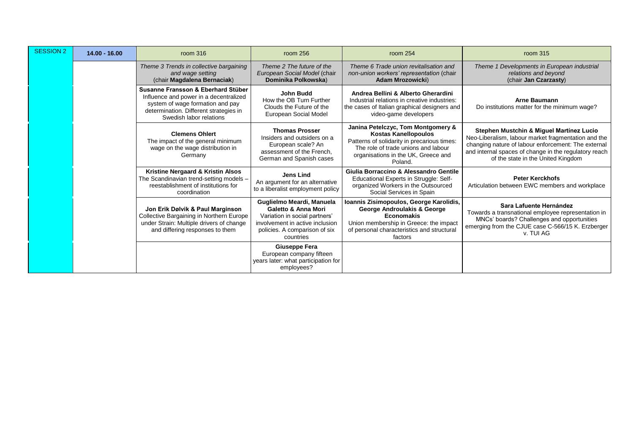| <b>SESSION 2</b> | $14.00 - 16.00$ | room 316                                                                                                                                                                              | room 256                                                                                                                                                                      | room 254                                                                                                                                                                                                  | room 315                                                                                                                                                                                                                                              |
|------------------|-----------------|---------------------------------------------------------------------------------------------------------------------------------------------------------------------------------------|-------------------------------------------------------------------------------------------------------------------------------------------------------------------------------|-----------------------------------------------------------------------------------------------------------------------------------------------------------------------------------------------------------|-------------------------------------------------------------------------------------------------------------------------------------------------------------------------------------------------------------------------------------------------------|
|                  |                 | Theme 3 Trends in collective bargaining<br>and wage setting<br>(chair Magdalena Bernaciak)                                                                                            | Theme 2 The future of the<br>European Social Model (chair<br>Dominika Polkowska)                                                                                              | Theme 6 Trade union revitalisation and<br>non-union workers' representation (chair<br>Adam Mrozowicki)                                                                                                    | Theme 1 Developments in European industrial<br>relations and beyond<br>(chair Jan Czarzasty)                                                                                                                                                          |
|                  |                 | Susanne Fransson & Eberhard Stüber<br>Influence and power in a decentralized<br>system of wage formation and pay<br>determination. Different strategies in<br>Swedish labor relations | <b>John Budd</b><br>How the OB Turn Further<br>Clouds the Future of the<br>European Social Model                                                                              | Andrea Bellini & Alberto Gherardini<br>Industrial relations in creative industries:<br>the cases of Italian graphical designers and<br>video-game developers                                              | <b>Arne Baumann</b><br>Do institutions matter for the minimum wage?                                                                                                                                                                                   |
|                  |                 | <b>Clemens Ohlert</b><br>The impact of the general minimum<br>wage on the wage distribution in<br>Germany                                                                             | <b>Thomas Prosser</b><br>Insiders and outsiders on a<br>European scale? An<br>assessment of the French.<br>German and Spanish cases                                           | Janina Petelczyc, Tom Montgomery &<br><b>Kostas Kanellopoulos</b><br>Patterns of solidarity in precarious times:<br>The role of trade unions and labour<br>organisations in the UK, Greece and<br>Poland. | Stephen Mustchin & Miguel Martínez Lucio<br>Neo-Liberalism, labour market fragmentation and the<br>changing nature of labour enforcement: The external<br>and internal spaces of change in the regulatory reach<br>of the state in the United Kingdom |
|                  |                 | Kristine Nergaard & Kristin Alsos<br>The Scandinavian trend-setting models -<br>reestablishment of institutions for<br>coordination                                                   | <b>Jens Lind</b><br>An argument for an alternative<br>to a liberalist employment policy                                                                                       | Giulia Borraccino & Alessandro Gentile<br>Educational Experts in Struggle: Self-<br>organized Workers in the Outsourced<br>Social Services in Spain                                                       | <b>Peter Kerckhofs</b><br>Articulation between EWC members and workplace                                                                                                                                                                              |
|                  |                 | Jon Erik Dølvik & Paul Marginson<br>Collective Bargaining in Northern Europe<br>under Strain: Multiple drivers of change<br>and differing responses to them                           | Guglielmo Meardi, Manuela<br><b>Galetto &amp; Anna Mori</b><br>Variation in social partners'<br>involvement in active inclusion<br>policies. A comparison of six<br>countries | Ioannis Zisimopoulos, George Karolidis,<br><b>George Androulakis &amp; George</b><br><b>Economakis</b><br>Union membership in Greece: the impact<br>of personal characteristics and structural<br>factors | Sara Lafuente Hernández<br>Towards a transnational employee representation in<br>MNCs' boards? Challenges and opportunities<br>emerging from the CJUE case C-566/15 K. Erzberger<br>v. TUI AG                                                         |
|                  |                 |                                                                                                                                                                                       | <b>Giuseppe Fera</b><br>European company fifteen<br>years later: what participation for<br>employees?                                                                         |                                                                                                                                                                                                           |                                                                                                                                                                                                                                                       |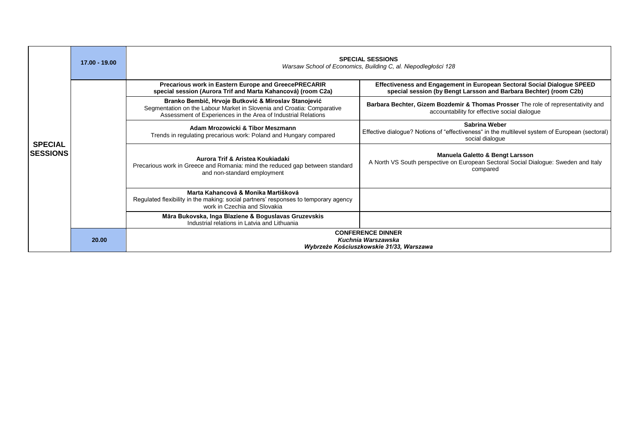|                                   | $17.00 - 19.00$ | <b>SPECIAL SESSIONS</b><br>Warsaw School of Economics, Building C, al. Niepodległości 128                                                                                                       |                                                                                                                                               |  |  |
|-----------------------------------|-----------------|-------------------------------------------------------------------------------------------------------------------------------------------------------------------------------------------------|-----------------------------------------------------------------------------------------------------------------------------------------------|--|--|
|                                   |                 | Precarious work in Eastern Europe and GreecePRECARIR<br>special session (Aurora Trif and Marta Kahancová) (room C2a)                                                                            | Effectiveness and Engagement in European Sectoral Social Dialogue SPEED<br>special session (by Bengt Larsson and Barbara Bechter) (room C2b)  |  |  |
| <b>SPECIAL</b><br><b>SESSIONS</b> |                 | Branko Bembič, Hrvoje Butković & Miroslav Stanojević<br>Segmentation on the Labour Market in Slovenia and Croatia: Comparative<br>Assessment of Experiences in the Area of Industrial Relations | Barbara Bechter, Gizem Bozdemir & Thomas Prosser The role of representativity and<br>accountability for effective social dialogue             |  |  |
|                                   |                 | Adam Mrozowicki & Tibor Meszmann<br>Trends in regulating precarious work: Poland and Hungary compared                                                                                           | Sabrina Weber<br>Effective dialogue? Notions of "effectiveness" in the multilevel system of European (sectoral)<br>social dialogue            |  |  |
|                                   |                 | Aurora Trif & Aristea Koukiadaki<br>Precarious work in Greece and Romania: mind the reduced gap between standard<br>and non-standard employment                                                 | <b>Manuela Galetto &amp; Bengt Larsson</b><br>A North VS South perspective on European Sectoral Social Dialogue: Sweden and Italy<br>compared |  |  |
|                                   |                 | Marta Kahancová & Monika Martišková<br>Regulated flexibility in the making: social partners' responses to temporary agency<br>work in Czechia and Slovakia                                      |                                                                                                                                               |  |  |
|                                   |                 | Māra Bukovska, Inga Blaziene & Boguslavas Gruzevskis<br>Industrial relations in Latvia and Lithuania                                                                                            |                                                                                                                                               |  |  |
|                                   | 20.00           | <b>CONFERENCE DINNER</b><br>Kuchnia Warszawska<br>Wybrzeże Kościuszkowskie 31/33, Warszawa                                                                                                      |                                                                                                                                               |  |  |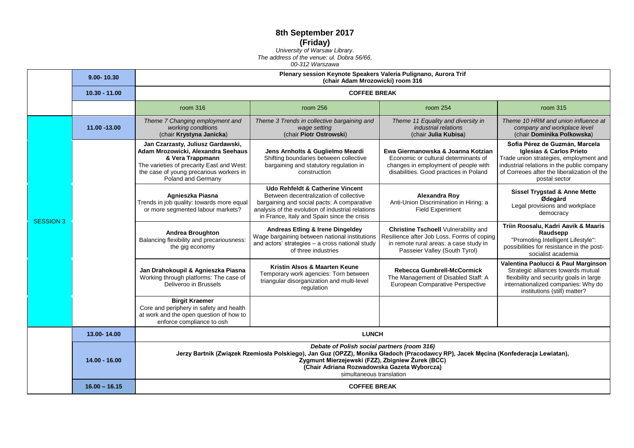## **8th September 2017 (Friday)**

*[University of Warsaw Library.](http://www.buw.uw.edu.pl/en/) The address of the venue: ul. Dobra 56/66,* 

## *00-312 Warszawa*

|  |                  | 9.00-10.30      | Plenary session Keynote Speakers Valeria Pulignano, Aurora Trif<br>(chair Adam Mrozowicki) room 316<br><b>COFFEE BREAK</b>                                                                                                                                                                                                              |                                                                                                                                                                                                                                         |                                                                                                                                                                      |                                                                                                                                                                                                                               |
|--|------------------|-----------------|-----------------------------------------------------------------------------------------------------------------------------------------------------------------------------------------------------------------------------------------------------------------------------------------------------------------------------------------|-----------------------------------------------------------------------------------------------------------------------------------------------------------------------------------------------------------------------------------------|----------------------------------------------------------------------------------------------------------------------------------------------------------------------|-------------------------------------------------------------------------------------------------------------------------------------------------------------------------------------------------------------------------------|
|  |                  | $10.30 - 11.00$ |                                                                                                                                                                                                                                                                                                                                         |                                                                                                                                                                                                                                         |                                                                                                                                                                      |                                                                                                                                                                                                                               |
|  |                  |                 | room 316                                                                                                                                                                                                                                                                                                                                | room 256                                                                                                                                                                                                                                | room 254                                                                                                                                                             | room 315                                                                                                                                                                                                                      |
|  |                  | 11.00 -13.00    | Theme 7 Changing employment and<br>working conditions<br>(chair Krystyna Janicka)                                                                                                                                                                                                                                                       | Theme 3 Trends in collective bargaining and<br>wage setting<br>(chair Piotr Ostrowski)                                                                                                                                                  | Theme 11 Equality and diversity in<br>industrial relations<br>(chair Julia Kubisa)                                                                                   | Theme 10 HRM and union influence at<br>company and workplace level<br>(chair Dominika Polkowska)                                                                                                                              |
|  |                  |                 | Jan Czarzasty, Juliusz Gardawski,<br>Adam Mrozowicki, Alexandra Seehaus<br>& Vera Trappmann<br>The varieties of precarity East and West:<br>the case of young precarious workers in<br>Poland and Germany                                                                                                                               | Jens Arnholts & Guglielmo Meardi<br>Shifting boundaries between collective<br>bargaining and statutory regulation in<br>construction                                                                                                    | Ewa Giermanowska & Joanna Kotzian<br>Economic or cultural determinants of<br>changes in employment of people with<br>disabilities. Good practices in Poland          | Sofía Pérez de Guzmán, Marcela<br><b>Iglesias &amp; Carlos Prieto</b><br>Trade union strategies, employment and<br>industrial relations in the public company<br>of Correoes after the liberalization of the<br>postal sector |
|  | <b>SESSION 3</b> |                 | Agnieszka Piasna<br>Trends in job quality: towards more equal<br>or more segmented labour markets?                                                                                                                                                                                                                                      | <b>Udo Rehfeldt &amp; Catherine Vincent</b><br>Between decentralization of collective<br>bargaining and social pacts: A comparative<br>analysis of the evolution of industrial relations<br>in France, Italy and Spain since the crisis | Alexandra Roy<br>Anti-Union Discrimination in Hiring: a<br><b>Field Experiment</b>                                                                                   | Sissel Trygstad & Anne Mette<br>Ødegård<br>Legal provisions and workplace<br>democracy                                                                                                                                        |
|  |                  |                 | <b>Andrea Broughton</b><br>Balancing flexibility and precariousness:<br>the gig economy                                                                                                                                                                                                                                                 | <b>Andreas Etling &amp; Irene Dingeldey</b><br>Wage bargaining between national institutions<br>and actors' strategies - a cross national study<br>of three industries                                                                  | <b>Christine Tschoell Vulnerability and</b><br>Resilience after Job Loss. Forms of coping<br>in remote rural areas: a case study in<br>Passeier Valley (South Tyrol) | Triin Roosalu, Kadri Aavik & Maaris<br>Raudsepp<br>"Promoting Intelligent Lifestyle":<br>possibilities for resistance in the post-<br>socialist academia                                                                      |
|  |                  |                 | Jan Drahokoupil & Agnieszka Piasna<br>Working through platforms: The case of<br>Deliveroo in Brussels                                                                                                                                                                                                                                   | Kristin Alsos & Maarten Keune<br>Temporary work agencies: Torn between<br>triangular disorganization and multi-level<br>regulation                                                                                                      | <b>Rebecca Gumbrell-McCormick</b><br>The Management of Disabled Staff: A<br>European Comparative Perspective                                                         | Valentina Paolucci & Paul Marginson<br>Strategic alliances towards mutual<br>flexibility and security goals in large<br>internationalized companies: Why do<br>institutions (still) matter?                                   |
|  |                  |                 | <b>Birgit Kraemer</b><br>Core and periphery in safety and health<br>at work and the open question of how to<br>enforce compliance to osh                                                                                                                                                                                                |                                                                                                                                                                                                                                         |                                                                                                                                                                      |                                                                                                                                                                                                                               |
|  |                  | 13.00-14.00     | <b>LUNCH</b>                                                                                                                                                                                                                                                                                                                            |                                                                                                                                                                                                                                         |                                                                                                                                                                      |                                                                                                                                                                                                                               |
|  |                  | 14.00 - 16.00   | Debate of Polish social partners (room 316)<br>Jerzy Bartnik (Związek Rzemiosła Polskiego), Jan Guz (OPZZ), Monika Gładoch (Pracodawcy RP), Jacek Męcina (Konfederacja Lewiatan),<br>Zygmunt Mierzejewski (FZZ), Zbigniew Żurek (BCC)<br>(Chair Adriana Rozwadowska Gazeta Wyborcza)<br>simultaneous translation<br><b>COFFEE BREAK</b> |                                                                                                                                                                                                                                         |                                                                                                                                                                      |                                                                                                                                                                                                                               |
|  |                  | $16.00 - 16.15$ |                                                                                                                                                                                                                                                                                                                                         |                                                                                                                                                                                                                                         |                                                                                                                                                                      |                                                                                                                                                                                                                               |